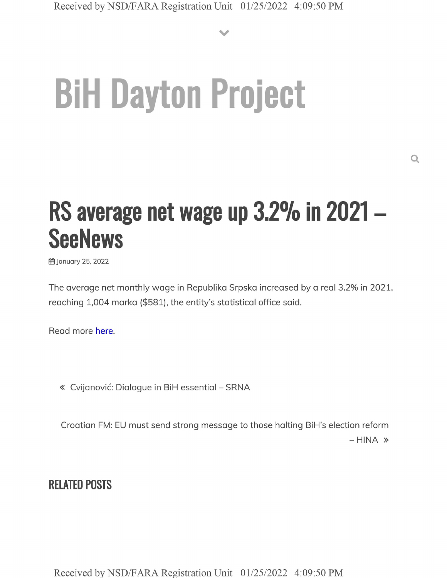**V**

# **BiH Dayton Project**

## **RS average net wage up 3.2% in <sup>2021</sup> - SeeNews**

January 25, 2022

The average net monthly wage in Republika Srpska increased by a real 3.2% in 2021, reaching 1,004 marka (\$581), the entity's statistical office said.

Read more here.

« Cvijanović: Dialogue in BiH essential - SRNA

Croatian FM: EU must send strong message to those halting BiH's election reform  $-$  HINA  $\ast$ 

**RELATED POSTS**

Received by NSD/FARA Registration Unit 01/25/2022 4:09:50 PM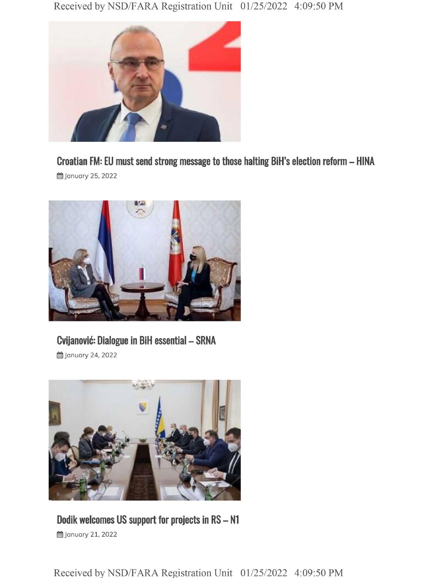

### **Croatian FM: EU must send strong message to those halting BiH's election reform - HINA**

**曲 January 25, 2022** 



#### **Cvijanovic: Dialogue in BiH essential - SRNA**

§§ January 24, 2022



#### **Dodik welcomes US support for projects in RS - <sup>N</sup> 的January 21, 2022**

Received by NSD/FARA Registration Unit 01/25/2022 4:09:50 PM